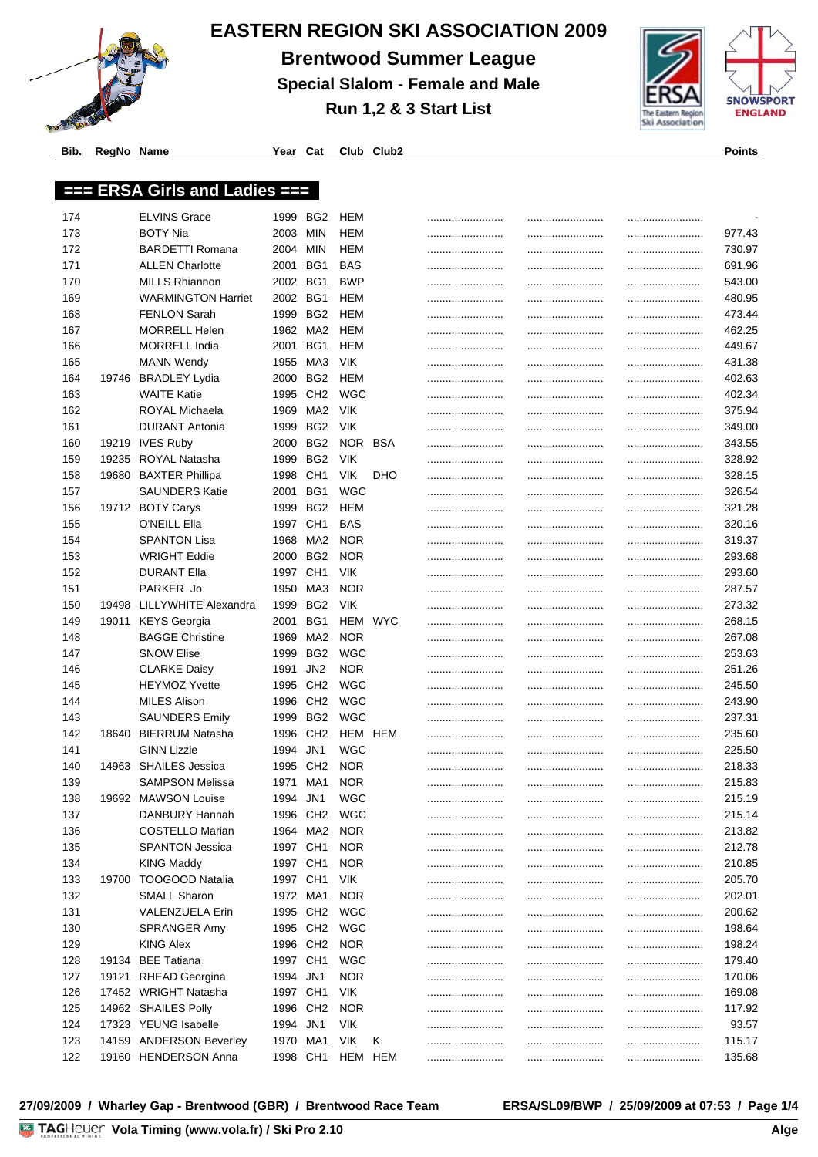

## **EASTERN REGION SKI ASSOCIATION 2009**

**Brentwood Summer League**

**Special Slalom - Female and Male**

**Run 1,2 & 3 Start List**



**Bib. RegNo Name Year Cat Club Club2 Points**

|     |       | === ERSA Girls and Ladies === |          |                      |            |            |      |            |
|-----|-------|-------------------------------|----------|----------------------|------------|------------|------|------------|
|     |       |                               |          |                      |            |            |      |            |
| 174 |       | <b>ELVINS Grace</b>           |          | 1999 BG2             | HEM        |            | <br> |            |
| 173 |       | BOTY Nia                      | 2003     | <b>MIN</b>           | HEM        |            | <br> | <br>977.43 |
| 172 |       | <b>BARDETTI Romana</b>        | 2004     | <b>MIN</b>           | HEM        |            | <br> | <br>730.97 |
| 171 |       | <b>ALLEN Charlotte</b>        | 2001     | BG1                  | <b>BAS</b> |            | <br> | <br>691.96 |
| 170 |       | <b>MILLS Rhiannon</b>         | 2002 BG1 |                      | <b>BWP</b> |            | <br> | <br>543.00 |
| 169 |       | <b>WARMINGTON Harriet</b>     | 2002 BG1 |                      | HEM        |            | <br> | <br>480.95 |
| 168 |       | <b>FENLON Sarah</b>           | 1999     | BG <sub>2</sub>      | HEM        |            |      | <br>473.44 |
| 167 |       | <b>MORRELL Helen</b>          |          | 1962 MA2             | HEM        |            | <br> | <br>462.25 |
| 166 |       | <b>MORRELL India</b>          | 2001     | BG1                  | HEM        |            |      | <br>449.67 |
| 165 |       | <b>MANN Wendy</b>             | 1955     | MA3                  | <b>VIK</b> |            |      | <br>431.38 |
| 164 |       | 19746 BRADLEY Lydia           | 2000     | BG <sub>2</sub>      | HEM        |            |      | <br>402.63 |
| 163 |       | <b>WAITE Katie</b>            | 1995     | CH <sub>2</sub>      | WGC        |            |      | <br>402.34 |
| 162 |       | ROYAL Michaela                | 1969     | MA2                  | <b>VIK</b> |            | <br> | <br>375.94 |
| 161 |       | <b>DURANT Antonia</b>         | 1999     | BG <sub>2</sub>      | <b>VIK</b> |            | <br> | <br>349.00 |
| 160 |       | 19219 IVES Ruby               | 2000     | BG <sub>2</sub>      | <b>NOR</b> | <b>BSA</b> |      | <br>343.55 |
| 159 |       | 19235 ROYAL Natasha           | 1999     | BG <sub>2</sub>      | <b>VIK</b> |            | <br> | <br>328.92 |
| 158 |       | 19680 BAXTER Phillipa         | 1998     | CH <sub>1</sub>      | <b>VIK</b> | <b>DHO</b> | <br> | <br>328.15 |
| 157 |       | <b>SAUNDERS Katie</b>         | 2001     | BG1                  | WGC        |            |      | <br>326.54 |
| 156 |       | 19712 BOTY Carys              | 1999     | BG <sub>2</sub>      | HEM        |            |      | 321.28     |
| 155 |       | O'NEILL Ella                  | 1997     | CH <sub>1</sub>      | BAS        |            | <br> | 320.16     |
| 154 |       | <b>SPANTON Lisa</b>           | 1968     | MA2                  | <b>NOR</b> |            | <br> | <br>319.37 |
| 153 |       | <b>WRIGHT Eddie</b>           | 2000     | BG2                  | <b>NOR</b> |            |      | <br>293.68 |
| 152 |       | DURANT Ella                   | 1997     | CH <sub>1</sub>      | <b>VIK</b> |            | <br> | 293.60     |
| 151 |       | PARKER Jo                     | 1950     | MA3                  | <b>NOR</b> |            | <br> | <br>287.57 |
| 150 | 19498 | LILLYWHITE Alexandra          | 1999     | BG <sub>2</sub>      | <b>VIK</b> |            | <br> | <br>273.32 |
| 149 | 19011 | <b>KEYS Georgia</b>           | 2001     | BG1                  | HEM        | <b>WYC</b> | <br> | <br>268.15 |
| 148 |       | <b>BAGGE Christine</b>        | 1969     | MA <sub>2</sub>      | <b>NOR</b> |            | <br> | <br>267.08 |
| 147 |       | <b>SNOW Elise</b>             | 1999     | BG <sub>2</sub>      | <b>WGC</b> |            | <br> | <br>253.63 |
| 146 |       | <b>CLARKE Daisy</b>           | 1991     | JN <sub>2</sub>      | <b>NOR</b> |            | <br> | <br>251.26 |
| 145 |       | <b>HEYMOZ Yvette</b>          | 1995     | CH <sub>2</sub>      | WGC        |            | <br> | <br>245.50 |
| 144 |       | <b>MILES Alison</b>           | 1996     | CH <sub>2</sub>      | WGC        |            |      | <br>243.90 |
| 143 |       | <b>SAUNDERS Emily</b>         | 1999     | BG <sub>2</sub>      | WGC        |            | <br> | <br>237.31 |
| 142 | 18640 | BIERRUM Natasha               | 1996     | CH <sub>2</sub>      |            | HEM HEM    | <br> | <br>235.60 |
| 141 |       | <b>GINN Lizzie</b>            | 1994     | JN1                  | <b>WGC</b> |            |      | <br>225.50 |
| 140 |       | 14963 SHAILES Jessica         | 1995     | CH <sub>2</sub>      | <b>NOR</b> |            | <br> | <br>218.33 |
| 139 |       | <b>SAMPSON Melissa</b>        | 1971     | MA1                  | <b>NOR</b> |            |      | 215.83     |
| 138 |       | 19692 MAWSON Louise           | 1994 JN1 |                      | WGC        |            |      | <br>215.19 |
| 137 |       | DANBURY Hannah                |          | 1996 CH <sub>2</sub> | <b>WGC</b> |            |      | <br>215.14 |
| 136 |       | <b>COSTELLO Marian</b>        |          | 1964 MA2             | <b>NOR</b> |            |      | 213.82     |
| 135 |       | <b>SPANTON Jessica</b>        | 1997 CH1 |                      | <b>NOR</b> |            |      | 212.78     |
| 134 |       | <b>KING Maddy</b>             | 1997 CH1 |                      | <b>NOR</b> |            | <br> | 210.85     |
| 133 | 19700 | <b>TOOGOOD Natalia</b>        | 1997 CH1 |                      | <b>VIK</b> |            | <br> | <br>205.70 |
|     |       | <b>SMALL Sharon</b>           |          |                      | <b>NOR</b> |            | <br> |            |
| 132 |       | <b>VALENZUELA Erin</b>        |          | 1972 MA1             |            |            | <br> | 202.01     |
| 131 |       |                               |          | 1995 CH2<br>1995 CH2 | <b>WGC</b> |            | <br> | 200.62     |
| 130 |       | SPRANGER Amy                  |          |                      | <b>WGC</b> |            |      | 198.64     |
| 129 |       | <b>KING Alex</b>              |          | 1996 CH2             | <b>NOR</b> |            |      | 198.24     |
| 128 |       | 19134 BEE Tatiana             | 1997 CH1 |                      | <b>WGC</b> |            |      | 179.40     |
| 127 |       | 19121 RHEAD Georgina          | 1994 JN1 |                      | <b>NOR</b> |            |      | 170.06     |
| 126 |       | 17452 WRIGHT Natasha          |          | 1997 CH1             | VIK        |            |      | <br>169.08 |

 14962 SHAILES Polly 1996 CH2 NOR ......................... ......................... ......................... 117.92 17323 YEUNG Isabelle 1994 JN1 VIK ......................... ......................... ......................... 93.57 14159 ANDERSON Beverley 1970 MA1 VIK K ......................... ......................... ......................... 115.17 19160 HENDERSON Anna 1998 CH1 HEM HEM ......................... ......................... ......................... 135.68

**27/09/2009 / Wharley Gap - Brentwood (GBR) / Brentwood Race Team ERSA/SL09/BWP / 25/09/2009 at 07:53 / Page 1/4**

<u>————————————</u>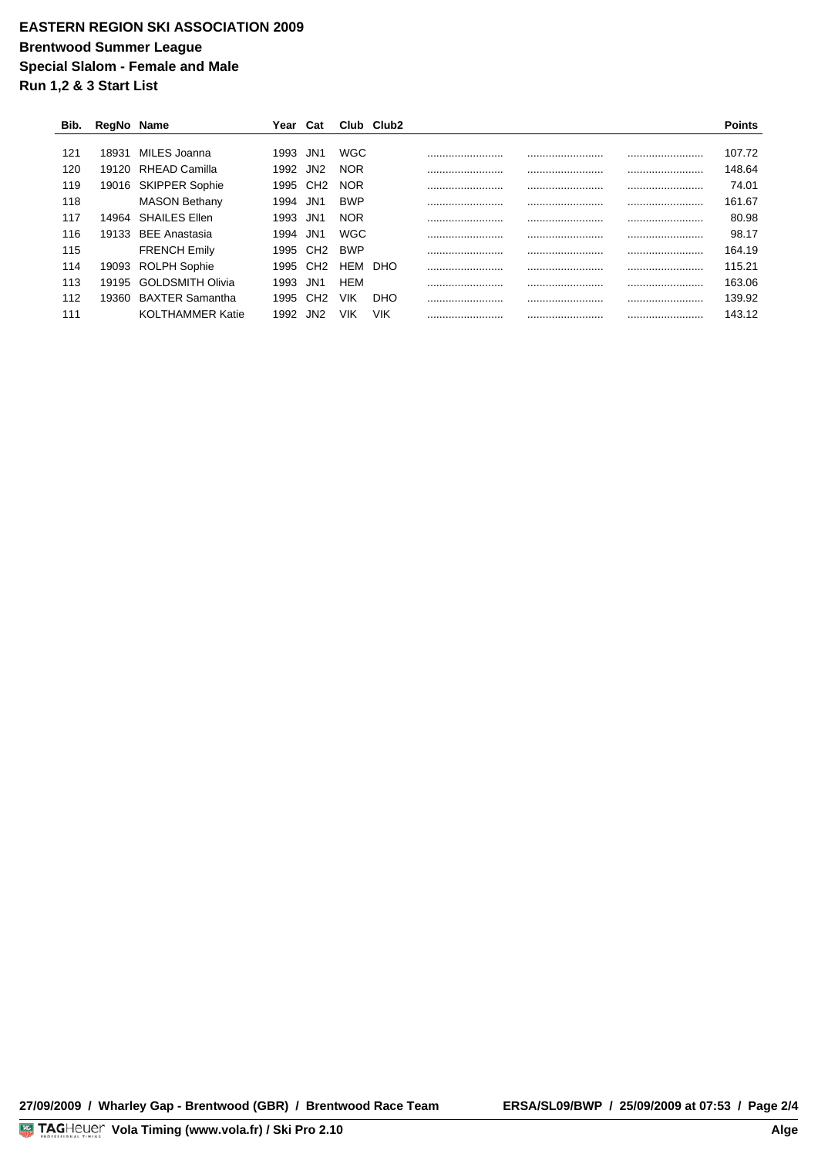## **EASTERN REGION SKI ASSOCIATION 2009 Brentwood Summer League Special Slalom - Female and Male Run 1,2 & 3 Start List**

| Bib. | RegNo Name |                         | rear | Cat             |            | Club Club <sub>2</sub> |      | Points     |
|------|------------|-------------------------|------|-----------------|------------|------------------------|------|------------|
|      |            |                         |      |                 |            |                        |      |            |
| 121  | 18931      | MILES Joanna            | 1993 | JN1             | <b>WGC</b> |                        | <br> | <br>107.72 |
| 120  |            | 19120 RHEAD Camilla     | 1992 | JN2             | <b>NOR</b> |                        | <br> | <br>148.64 |
| 119  | 19016      | <b>SKIPPER Sophie</b>   | 1995 | CH <sub>2</sub> | <b>NOR</b> |                        | <br> | <br>74.01  |
| 118  |            | <b>MASON Bethany</b>    | 1994 | JN1             | <b>BWP</b> |                        | <br> | <br>161.67 |
| 117  | 14964      | <b>SHAILES Ellen</b>    | 1993 | JN1             | <b>NOR</b> |                        | <br> | <br>80.98  |
| 116  | 19133      | <b>BEE Anastasia</b>    | 1994 | JN <sub>1</sub> | WGC        |                        | <br> | <br>98.17  |
| 115  |            | <b>FRENCH Emily</b>     | 1995 |                 | <b>BWP</b> |                        | <br> | <br>164.19 |
| 114  | 19093      | <b>ROLPH Sophie</b>     | 1995 | CH <sub>2</sub> | HEM        | DHO                    | <br> | <br>115.21 |
| 113  | 19195      | <b>GOLDSMITH Olivia</b> | 1993 | JN1             | <b>HEM</b> |                        | <br> | <br>163.06 |
| 112  | 19360      | <b>BAXTER Samantha</b>  | 1995 | CH <sub>2</sub> | VIK        | DHO                    | <br> | <br>139.92 |
| 111  |            | <b>KOLTHAMMER Katie</b> | 1992 |                 | VIK        | VIK                    | <br> | <br>143.12 |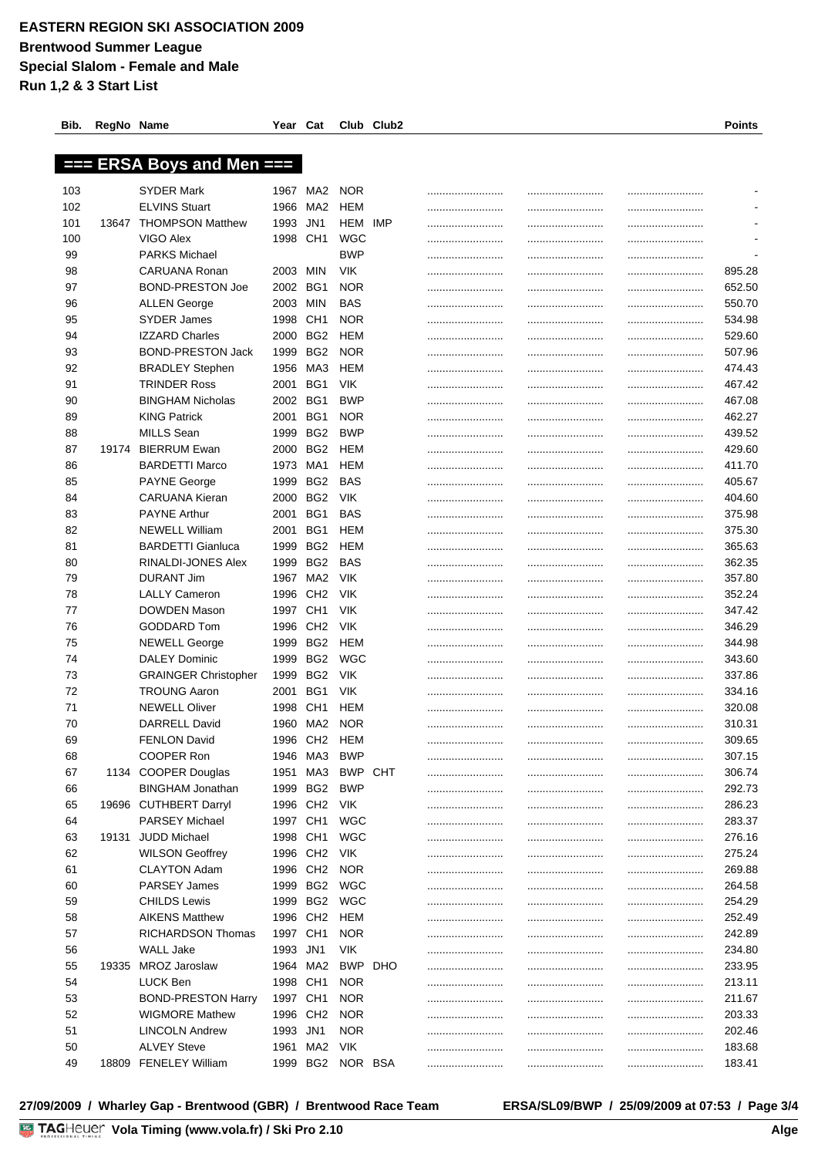| Bib. | RegNo Name |                                             | Year     | Cat             |            | Club Club2 |      | Points                       |
|------|------------|---------------------------------------------|----------|-----------------|------------|------------|------|------------------------------|
|      |            |                                             |          |                 |            |            |      |                              |
|      |            | $==$ ERSA Boys and Men $==$                 |          |                 |            |            |      |                              |
|      |            |                                             |          |                 |            |            |      |                              |
| 103  |            | SYDER Mark                                  | 1967     | MA2             | <b>NOR</b> |            |      |                              |
| 102  |            | <b>ELVINS Stuart</b>                        | 1966     | MA <sub>2</sub> | HEM        |            |      | <br>$\overline{\phantom{a}}$ |
| 101  | 13647      | <b>THOMPSON Matthew</b>                     | 1993     | JN <sub>1</sub> | HEM        | IMP        |      |                              |
| 100  |            | VIGO Alex                                   | 1998     | CH <sub>1</sub> | WGC        |            |      |                              |
| 99   |            | <b>PARKS Michael</b>                        |          |                 | <b>BWP</b> |            |      |                              |
| 98   |            | CARUANA Ronan                               | 2003     | MIN             | <b>VIK</b> |            |      | 895.28                       |
| 97   |            | <b>BOND-PRESTON Joe</b>                     | 2002     | BG1             | <b>NOR</b> |            |      | 652.50                       |
| 96   |            | <b>ALLEN George</b>                         | 2003     | <b>MIN</b>      | <b>BAS</b> |            |      | 550.70                       |
| 95   |            | <b>SYDER James</b>                          | 1998     | CH <sub>1</sub> | <b>NOR</b> |            | <br> | <br>534.98                   |
| 94   |            | <b>IZZARD Charles</b>                       | 2000     | BG <sub>2</sub> | HEM        |            |      | 529.60                       |
| 93   |            | <b>BOND-PRESTON Jack</b>                    | 1999     | BG <sub>2</sub> | <b>NOR</b> |            | <br> | 507.96                       |
| 92   |            | <b>BRADLEY Stephen</b>                      | 1956     | MA3             | HEM        |            |      | 474.43                       |
| 91   |            | <b>TRINDER Ross</b>                         | 2001     | BG1             | <b>VIK</b> |            |      | 467.42                       |
| 90   |            | <b>BINGHAM Nicholas</b>                     | 2002     | BG1             | <b>BWP</b> |            | <br> | <br>467.08                   |
| 89   |            | <b>KING Patrick</b>                         | 2001     | BG1             | <b>NOR</b> |            |      | <br>462.27                   |
| 88   |            | <b>MILLS Sean</b>                           | 1999     | BG <sub>2</sub> | <b>BWP</b> |            |      | <br>439.52                   |
| 87   | 19174      | <b>BIERRUM Ewan</b>                         | 2000     | BG <sub>2</sub> | HEM        |            |      | <br>429.60                   |
| 86   |            | <b>BARDETTI Marco</b>                       | 1973     | MA1             | HEM        |            |      | 411.70                       |
| 85   |            | <b>PAYNE George</b>                         | 1999     | BG <sub>2</sub> | BAS        |            |      | 405.67                       |
| 84   |            | CARUANA Kieran                              | 2000     | BG <sub>2</sub> | <b>VIK</b> |            |      | <br>404.60                   |
| 83   |            | <b>PAYNE Arthur</b>                         | 2001     | BG1             | <b>BAS</b> |            |      | 375.98                       |
| 82   |            | <b>NEWELL William</b>                       | 2001     | BG1             | <b>HEM</b> |            |      | <br>375.30                   |
| 81   |            | <b>BARDETTI Gianluca</b>                    | 1999     | BG <sub>2</sub> | HEM        |            |      | <br>365.63                   |
| 80   |            | RINALDI-JONES Alex                          | 1999     | BG <sub>2</sub> | BAS        |            |      | <br>362.35                   |
| 79   |            | <b>DURANT Jim</b>                           | 1967     | MA2             | <b>VIK</b> |            |      | <br>357.80                   |
| 78   |            | <b>LALLY Cameron</b>                        | 1996     | CH <sub>2</sub> | <b>VIK</b> |            |      | <br>352.24                   |
| 77   |            | DOWDEN Mason                                | 1997     | CH <sub>1</sub> | <b>VIK</b> |            |      | 347.42                       |
| 76   |            | <b>GODDARD Tom</b>                          | 1996     | CH <sub>2</sub> | <b>VIK</b> |            |      | 346.29                       |
| 75   |            | <b>NEWELL George</b>                        | 1999     | BG <sub>2</sub> | HEM        |            |      | 344.98                       |
| 74   |            | <b>DALEY Dominic</b>                        | 1999     | BG <sub>2</sub> | <b>WGC</b> |            |      | 343.60                       |
| 73   |            | <b>GRAINGER Christopher</b>                 | 1999     | BG <sub>2</sub> | <b>VIK</b> |            |      | <br>337.86                   |
| 72   |            |                                             | 2001     | BG1             | <b>VIK</b> |            |      | 334.16                       |
| 71   |            | <b>TROUNG Aaron</b><br><b>NEWELL Oliver</b> | 1998     | CH <sub>1</sub> | HEM        |            |      |                              |
|      |            |                                             |          |                 |            |            |      | 320.08                       |
| 70   |            | DARRELL David                               |          | 1960 MA2 NOR    |            |            | <br> | 310.31                       |
| 69   |            | <b>FENLON David</b>                         | 1996     | CH <sub>2</sub> | <b>HEM</b> |            |      | 309.65                       |
| 68   |            | COOPER Ron                                  | 1946     | MA3             | <b>BWP</b> |            |      | <br>307.15                   |
| 67   |            | 1134 COOPER Douglas                         | 1951     | MA3             | BWP CHT    |            | <br> | <br>306.74                   |
| 66   |            | <b>BINGHAM Jonathan</b>                     | 1999     | BG <sub>2</sub> | BWP        |            | <br> | <br>292.73                   |
| 65   |            | 19696 CUTHBERT Darryl                       | 1996 CH2 |                 | <b>VIK</b> |            | <br> | <br>286.23                   |
| 64   |            | <b>PARSEY Michael</b>                       | 1997 CH1 |                 | <b>WGC</b> |            | <br> | <br>283.37                   |
| 63   |            | 19131 JUDD Michael                          | 1998     | CH <sub>1</sub> | <b>WGC</b> |            |      | 276.16                       |
| 62   |            | <b>WILSON Geoffrey</b>                      | 1996     | CH <sub>2</sub> | <b>VIK</b> |            | <br> | 275.24                       |
| 61   |            | <b>CLAYTON Adam</b>                         | 1996     | CH <sub>2</sub> | <b>NOR</b> |            |      | <br>269.88                   |
| 60   |            | <b>PARSEY James</b>                         | 1999     | BG2             | <b>WGC</b> |            |      | <br>264.58                   |
| 59   |            | <b>CHILDS Lewis</b>                         | 1999     | BG <sub>2</sub> | <b>WGC</b> |            |      | <br>254.29                   |
| 58   |            | <b>AIKENS Matthew</b>                       | 1996     | CH <sub>2</sub> | <b>HEM</b> |            |      | <br>252.49                   |
| 57   |            | RICHARDSON Thomas                           | 1997     | CH <sub>1</sub> | <b>NOR</b> |            | <br> | <br>242.89                   |
| 56   |            | <b>WALL Jake</b>                            | 1993     | JN1             | <b>VIK</b> |            | <br> | <br>234.80                   |
| 55   | 19335      | <b>MROZ Jaroslaw</b>                        | 1964     | MA <sub>2</sub> | BWP DHO    |            | <br> | <br>233.95                   |
| 54   |            | LUCK Ben                                    | 1998     | CH <sub>1</sub> | <b>NOR</b> |            | <br> | <br>213.11                   |
| 53   |            | <b>BOND-PRESTON Harry</b>                   | 1997     | CH <sub>1</sub> | <b>NOR</b> |            | <br> | <br>211.67                   |
| 52   |            | <b>WIGMORE Mathew</b>                       | 1996     | CH <sub>2</sub> | <b>NOR</b> |            | <br> | <br>203.33                   |
| 51   |            | <b>LINCOLN Andrew</b>                       | 1993     | JN <sub>1</sub> | <b>NOR</b> |            | <br> | <br>202.46                   |
| 50   |            | <b>ALVEY Steve</b>                          | 1961     | MA2             | <b>VIK</b> |            |      | 183.68                       |
| 49   | 18809      | <b>FENELEY William</b>                      | 1999     | BG <sub>2</sub> | NOR BSA    |            | <br> | <br>183.41                   |

**27/09/2009 / Wharley Gap - Brentwood (GBR) / Brentwood Race Team ERSA/SL09/BWP / 25/09/2009 at 07:53 / Page 3/4**

<u>————————————</u>